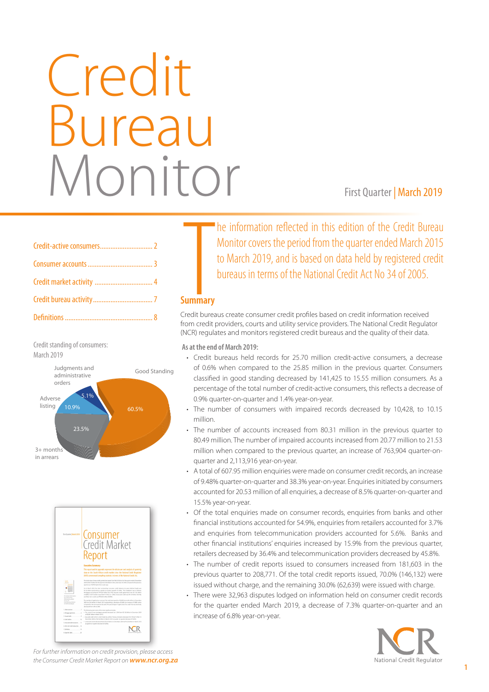# Credit Bureau Monitor First Quarter | March 2019

Credit standing of consumers: March 2019





**Summary**<br>Summary he information reflected in this edition of the Credit Bureau Monitor covers the period from the quarter ended March 2015 to March 2019, and is based on data held by registered credit bureaus in terms of the National Credit Act No 34 of 2005.

# **Summary**

Credit bureaus create consumer credit profiles based on credit information received from credit providers, courts and utility service providers. The National Credit Regulator (NCR) regulates and monitors registered credit bureaus and the quality of their data.

**As at the end of March 2019:** 

- • Credit bureaus held records for 25.70 million credit-active consumers, a decrease of 0.6% when compared to the 25.85 million in the previous quarter. Consumers classified in good standing decreased by 141,425 to 15.55 million consumers. As a percentage of the total number of credit-active consumers, this reflects a decrease of 0.9% quarter-on-quarter and 1.4% year-on-year. As at the end of March 2019:<br>
• Credit bureaus held records for 25.70 million<br>
of 0.6% when compared to the 25.85 million<br>
classified in good standing decreased by 141,4<br>
percentage of the total number of credit-active<br>
0.
	- The number of consumers with impaired records decreased by 10,428, to 10.15 million.
	- The number of accounts increased from 80.31 million in the previous quarter to 80.49 million. The number of impaired accounts increased from 20.77 million to 21.53 million when compared to the previous quarter, an increase of 763,904 quarter-onquarter and 2,113,916 year-on-year.
	- A total of 607.95 million enquiries were made on consumer credit records, an increase of 9.48% quarter-on-quarter and 38.3% year-on-year. Enquiries initiated by consumers accounted for 20.53 million of all enquiries, a decrease of 8.5% quarter-on-quarter and 15.5% year-on-year.
	- Of the total enquiries made on consumer records, enquiries from banks and other financial institutions accounted for 54.9%, enquiries from retailers accounted for 3.7% and enquiries from telecommunication providers accounted for 5.6%. Banks and other financial institutions' enquiries increased by 15.9% from the previous quarter, retailers decreased by 36.4% and telecommunication providers decreased by 45.8%.
	- The number of credit reports issued to consumers increased from 181,603 in the previous quarter to 208,771. Of the total credit reports issued, 70.0% (146,132) were issued without charge, and the remaining 30.0% (62,639) were issued with charge.
	- There were 32,963 disputes lodged on information held on consumer credit records for the quarter ended March 2019, a decrease of 7.3% quarter-on-quarter and an increase of 6.8% year-on-year.



*For further information on credit provision, please access the Consumer Credit Market Report on www.ncr.org.za*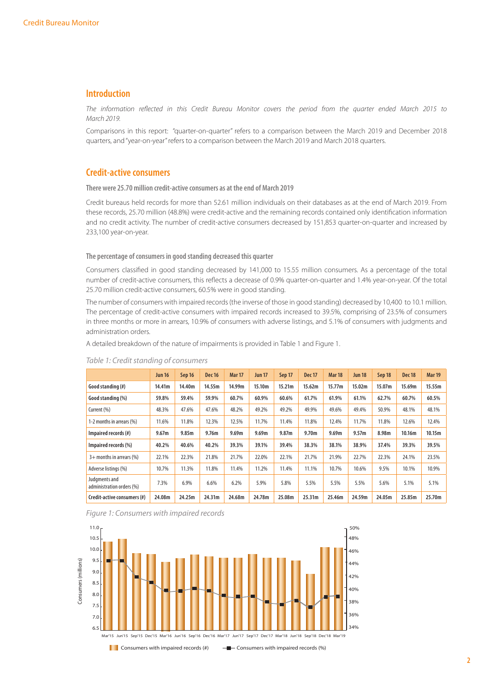# **Introduction**

*The information reflected in this Credit Bureau Monitor covers the period from the quarter ended March 2015 to March 2019.* 

Comparisons in this report: "quarter-on-quarter" refers to a comparison between the March 2019 and December 2018 quarters, and "year-on-year" refers to a comparison between the March 2019 and March 2018 quarters.

### **Credit-active consumers**

**There were 25.70 million credit-active consumers as at the end of March 2019**

Credit bureaus held records for more than 52.61 million individuals on their databases as at the end of March 2019. From these records, 25.70 million (48.8%) were credit-active and the remaining records contained only identification information and no credit activity. The number of credit-active consumers decreased by 151,853 quarter-on-quarter and increased by 233,100 year-on-year.

#### **The percentage of consumers in good standing decreased this quarter**

Consumers classified in good standing decreased by 141,000 to 15.55 million consumers. As a percentage of the total number of credit-active consumers, this reflects a decrease of 0.9% quarter-on-quarter and 1.4% year-on-year. Of the total 25.70 million credit-active consumers, 60.5% were in good standing.

The number of consumers with impaired records (the inverse of those in good standing) decreased by 10,400 to 10.1 million. The percentage of credit-active consumers with impaired records increased to 39.5%, comprising of 23.5% of consumers in three months or more in arrears, 10.9% of consumers with adverse listings, and 5.1% of consumers with judgments and administration orders.

A detailed breakdown of the nature of impairments is provided in Table 1 and Figure 1.

|                                            | <b>Jun 16</b> | Sep 16 | <b>Dec 16</b> | <b>Mar 17</b> | <b>Jun 17</b> | Sep 17 | <b>Dec 17</b>     | <b>Mar 18</b> | <b>Jun 18</b> | Sep 18 | <b>Dec 18</b> | <b>Mar 19</b> |
|--------------------------------------------|---------------|--------|---------------|---------------|---------------|--------|-------------------|---------------|---------------|--------|---------------|---------------|
| Good standing (#)                          | 14.41m        | 14.40m | 14.55m        | 14.99m        | 15.10m        | 15.21m | 15.62m            | 15.77m        | 15.02m        | 15.07m | 15.69m        | 15.55m        |
| Good standing (%)                          | 59.8%         | 59.4%  | 59.9%         | 60.7%         | 60.9%         | 60.6%  | 61.7%             | 61.9%         | 61.1%         | 62.7%  | 60.7%         | 60.5%         |
| Current (%)                                | 48.3%         | 47.6%  | 47.6%         | 48.2%         | 49.2%         | 49.2%  | 49.9%             | 49.6%         | 49.4%         | 50.9%  | 48.1%         | 48.1%         |
| 1-2 months in arrears (%)                  | 11.6%         | 11.8%  | 12.3%         | 12.5%         | 11.7%         | 11.4%  | 11.8%             | 12.4%         | 11.7%         | 11.8%  | 12.6%         | 12.4%         |
| Impaired records (#)                       | 9.67m         | 9.85m  | 9.76m         | 9.69m         | 9.69m         | 9.87m  | 9.70 <sub>m</sub> | 9.69m         | 9.57m         | 8.98m  | 10.16m        | 10.15m        |
| Impaired records (%)                       | 40.2%         | 40.6%  | 40.2%         | 39.3%         | 39.1%         | 39.4%  | 38.3%             | 38.1%         | 38.9%         | 37.4%  | 39.3%         | 39.5%         |
| 3+ months in arrears (%)                   | 22.1%         | 22.3%  | 21.8%         | 21.7%         | 22.0%         | 22.1%  | 21.7%             | 21.9%         | 22.7%         | 22.3%  | 24.1%         | 23.5%         |
| Adverse listings (%)                       | 10.7%         | 11.3%  | 11.8%         | 11.4%         | 11.2%         | 11.4%  | 11.1%             | 10.7%         | 10.6%         | 9.5%   | 10.1%         | 10.9%         |
| Judgments and<br>administration orders (%) | 7.3%          | 6.9%   | 6.6%          | 6.2%          | 5.9%          | 5.8%   | 5.5%              | 5.5%          | 5.5%          | 5.6%   | 5.1%          | 5.1%          |
| Credit-active consumers (#)                | 24.08m        | 24.25m | 24.31m        | 24.68m        | 24.78m        | 25.08m | 25.31m            | 25.46m        | 24.59m        | 24.05m | 25.85m        | 25.70m        |

#### *Table 1: Credit standing of consumers*



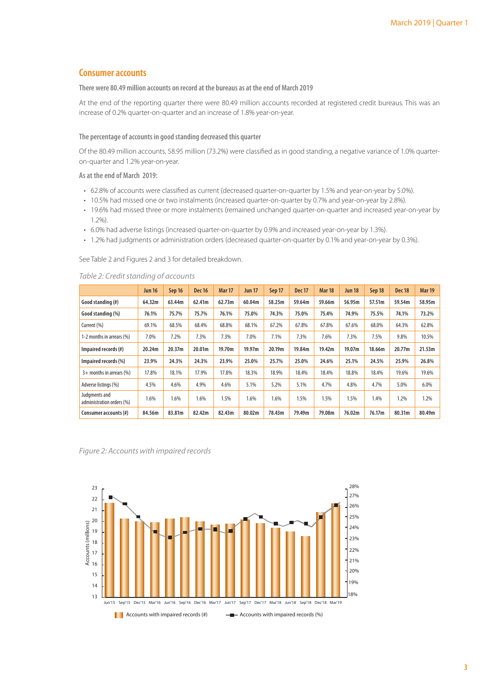# **Consumer accounts**

**There were 80.49 million accounts on record at the bureaus as at the end of March 2019**

At the end of the reporting quarter there were 80.49 million accounts recorded at registered credit bureaus. This was an increase of 0.2% quarter-on-quarter and an increase of 1.8% year-on-year.

#### **The percentage of accounts in good standing decreased this quarter**

Of the 80.49 million accounts, 58.95 million (73.2%) were classified as in good standing, a negative variance of 1.0% quarteron-quarter and 1.2% year-on-year.

**As at the end of March 2019:** 

- • 62.8% of accounts were classified as current (decreased quarter-on-quarter by 1.5% and year-on-year by 5.0%).
- 10.5% had missed one or two instalments (increased quarter-on-quarter by 0.7% and year-on-year by 2.8%).
- 19.6% had missed three or more instalments (remained unchanged quarter-on-quarter and increased year-on-year by 1.2%).
- • 6.0% had adverse listings (increased quarter-on-quarter by 0.9% and increased year-on-year by 1.3%).
- 1.2% had judgments or administration orders (decreased quarter-on-quarter by 0.1% and year-on-year by 0.3%).

See Table 2 and Figures 2 and 3 for detailed breakdown.

|                                            | <b>Jun 16</b> | Sep 16 | <b>Dec 16</b> | <b>Mar 17</b> | <b>Jun 17</b> | Sep 17 | <b>Dec 17</b> | <b>Mar 18</b> | <b>Jun 18</b> | Sep 18 | <b>Dec 18</b> | <b>Mar 19</b> |
|--------------------------------------------|---------------|--------|---------------|---------------|---------------|--------|---------------|---------------|---------------|--------|---------------|---------------|
| Good standing (#)                          | 64.32m        | 63.44m | 62.41m        | 62.73m        | 60.04m        | 58.25m | 59.64m        | 59.66m        | 56.95m        | 57.51m | 59.54m        | 58.95m        |
| Good standing (%)                          | 76.1%         | 75.7%  | 75.7%         | 76.1%         | 75.0%         | 74.3%  | 75.0%         | 75.4%         | 74.9%         | 75.5%  | 74.1%         | 73.2%         |
| Current (%)                                | 69.1%         | 68.5%  | 68.4%         | 68.8%         | 68.1%         | 67.2%  | 67.8%         | 67.8%         | 67.6%         | 68.0%  | 64.3%         | 62.8%         |
| 1-2 months in arrears (%)                  | 7.0%          | 7.2%   | 7.3%          | 7.3%          | 7.0%          | 7.1%   | 7.3%          | 7.6%          | 7.3%          | 7.5%   | 9.8%          | 10.5%         |
| Impaired records (#)                       | 20.24m        | 20.37m | 20.01m        | 19.70m        | 19.97m        | 20.19m | 19.84m        | 19.42m        | 19.07m        | 18.66m | 20.77m        | 21.53m        |
| Impaired records (%)                       | 23.9%         | 24.3%  | 24.3%         | 23.9%         | 25.0%         | 25.7%  | 25.0%         | 24.6%         | 25.1%         | 24.5%  | 25.9%         | 26.8%         |
| $3+$ months in arrears (%)                 | 17.8%         | 18.1%  | 17.9%         | 17.8%         | 18.3%         | 18.9%  | 18.4%         | 18.4%         | 18.8%         | 18.4%  | 19.6%         | 19.6%         |
| Adverse listings (%)                       | 4.5%          | 4.6%   | 4.9%          | 4.6%          | 5.1%          | 5.2%   | 5.1%          | 4.7%          | 4.8%          | 4.7%   | 5.0%          | 6.0%          |
| Judgments and<br>administration orders (%) | 1.6%          | 1.6%   | 1.6%          | 1.5%          | 1.6%          | 1.6%   | 1.5%          | 1.5%          | 1.5%          | 1.4%   | 1.2%          | 1.2%          |
| Consumer accounts (#)                      | 84.56m        | 83.81m | 82.42m        | 82.43m        | 80.02m        | 78.43m | 79.49m        | 79.08m        | 76.02m        | 76.17m | 80.31m        | 80.49m        |

*Table 2: Credit standing of accounts* 

*Figure 2: Accounts with impaired records* 

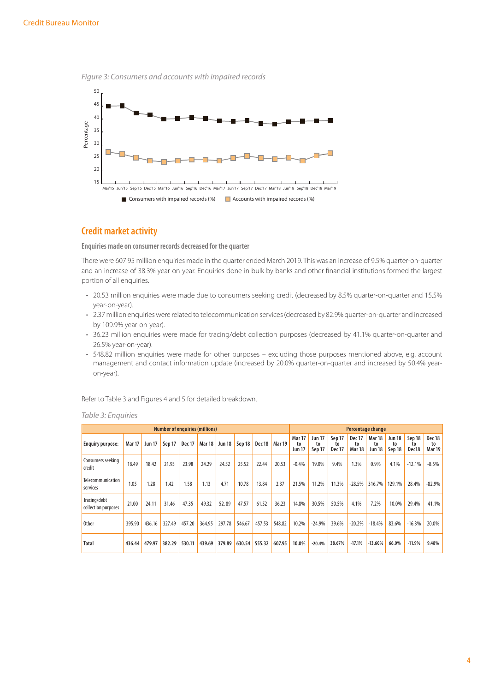



# **Credit market activity**

**Enquiries made on consumer records decreased for the quarter**

There were 607.95 million enquiries made in the quarter ended March 2019. This was an increase of 9.5% quarter-on-quarter and an increase of 38.3% year-on-year. Enquiries done in bulk by banks and other financial institutions formed the largest portion of all enquiries.

- • 20.53 million enquiries were made due to consumers seeking credit (decreased by 8.5% quarter-on-quarter and 15.5% year-on-year).
- • 2.37 million enquiries were related to telecommunication services (decreased by 82.9% quarter-on-quarter and increased by 109.9% year-on-year).
- • 36.23 million enquiries were made for tracing/debt collection purposes (decreased by 41.1% quarter-on-quarter and 26.5% year-on-year).
- 548.82 million enquiries were made for other purposes excluding those purposes mentioned above, e.g. account management and contact information update (increased by 20.0% quarter-on-quarter and increased by 50.4% yearon-year).

Refer to Table 3 and Figures 4 and 5 for detailed breakdown.

|                                     |               |               |        |               | <b>Number of enquiries (millions)</b> |               |        |        |               |                                      |                               |                               |                                      | Percentage change                    |                               |                       |                               |
|-------------------------------------|---------------|---------------|--------|---------------|---------------------------------------|---------------|--------|--------|---------------|--------------------------------------|-------------------------------|-------------------------------|--------------------------------------|--------------------------------------|-------------------------------|-----------------------|-------------------------------|
| <b>Enquiry purpose:</b>             | <b>Mar 17</b> | <b>Jun 17</b> | Sep 17 | <b>Dec 17</b> | <b>Mar 18</b>                         | <b>Jun 18</b> | Sep 18 | Dec 18 | <b>Mar 19</b> | <b>Mar 17</b><br>to<br><b>Jun 17</b> | <b>Jun 17</b><br>to<br>Sep 17 | Sep 17<br>to<br><b>Dec 17</b> | <b>Dec 17</b><br>to<br><b>Mar 18</b> | <b>Mar 18</b><br>to<br><b>Jun 18</b> | <b>Jun 18</b><br>to<br>Sep 18 | Sep 18<br>to<br>Dec18 | Dec 18<br>to<br><b>Mar 19</b> |
| Consumers seeking<br>credit         | 18.49         | 18.42         | 21.93  | 23.98         | 24.29                                 | 24.52         | 25.52  | 22.44  | 20.53         | $-0.4%$                              | 19.0%                         | 9.4%                          | 1.3%                                 | 0.9%                                 | 4.1%                          | $-12.1%$              | -8.5%                         |
| Telecommunication<br>services       | 1.05          | 1.28          | 1.42   | 1.58          | 1.13                                  | 4.71          | 10.78  | 13.84  | 2.37          | 21.5%                                | 11.2%                         | 11.3%                         | $-28.5%$                             | 316.7%                               | 129.1%                        | 28.4%                 | $-82.9%$                      |
| Tracing/debt<br>collection purposes | 21.00         | 24.11         | 31.46  | 47.35         | 49.32                                 | 52.89         | 47.57  | 61.52  | 36.23         | 14.8%                                | 30.5%                         | 50.5%                         | 4.1%                                 | 7.2%                                 | $-10.0\%$                     | 29.4%                 | $-41.1%$                      |
| <b>Other</b>                        | 395.90        | 436.16        | 327.49 | 457.20        | 364.95                                | 297.78        | 546.67 | 457.53 | 548.82        | 10.2%                                | $-24.9%$                      | 39.6%                         | $-20.2%$                             | $-18.4%$                             | 83.6%                         | $-16.3%$              | 20.0%                         |
| <b>Total</b>                        | 436.44        | 479.97        | 382.29 | 530.11        | 439.69                                | 379.89        | 630.54 | 555.32 | 607.95        | 10.0%                                | $-20.4%$                      | 38.67%                        | $-17.1%$                             | $-13.60%$                            | 66.0%                         | $-11.9%$              | 9.48%                         |

#### *Table 3: Enquiries*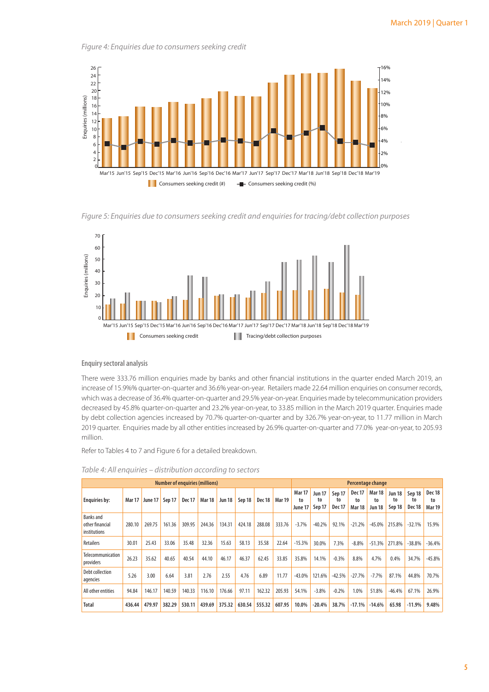14%  $716%$ 



*Figure 4: Enquiries due to consumers seeking credit*



*Figure 5: Enquiries due to consumers seeking credit and enquiries for tracing/debt collection purposes* 



**Enquiry sectoral analysis** 

There were 333.76 million enquiries made by banks and other financial institutions in the quarter ended March 2019, an increase of 15.9%% quarter-on-quarter and 36.6% year-on-year. Retailers made 22.64 million enquiries on consumer records, which was a decrease of 36.4% quarter-on-quarter and 29.5% year-on-year. Enquiries made by telecommunication providers decreased by 45.8% quarter-on-quarter and 23.2% year-on-year, to 33.85 million in the March 2019 quarter. Enquiries made by debt collection agencies increased by 70.7% quarter-on-quarter and by 326.7% year-on-year, to 11.77 million in March 2019 quarter. Enquiries made by all other entities increased by 26.9% quarter-on-quarter and 77.0% year-on-year, to 205.93 million.

Refer to Tables 4 to 7 and Figure 6 for a detailed breakdown.

|                                                     |               |         |        |               | <b>Number of enguiries (millions)</b> |               |        |               |               |                                |                               |                               |                                      | Percentage change             |                        |                               |                                      |
|-----------------------------------------------------|---------------|---------|--------|---------------|---------------------------------------|---------------|--------|---------------|---------------|--------------------------------|-------------------------------|-------------------------------|--------------------------------------|-------------------------------|------------------------|-------------------------------|--------------------------------------|
| <b>Enquiries by:</b>                                | <b>Mar 17</b> | June 17 | Sep 17 | <b>Dec 17</b> | <b>Mar 18</b>                         | <b>Jun 18</b> | Sep 18 | <b>Dec 18</b> | <b>Mar 19</b> | <b>Mar 17</b><br>to<br>June 17 | <b>Jun 17</b><br>to<br>Sep 17 | Sep 17<br>to<br><b>Dec 17</b> | <b>Dec 17</b><br>to<br><b>Mar 18</b> | <b>Mar 18</b><br>to<br>Jun 18 | Jun 18<br>to<br>Sep 18 | Sep 18<br>to<br><b>Dec 18</b> | <b>Dec 18</b><br>to<br><b>Mar 19</b> |
| <b>Banks</b> and<br>other financial<br>institutions | 280.10        | 269.75  | 161.36 | 309.95        | 244.36                                | 134.31        | 424.18 | 288.08        | 333.76        | $-3.7%$                        | $-40.2%$                      | 92.1%                         | $-21.2%$                             | $-45.0%$                      | 215.8%                 | $-32.1%$                      | 15.9%                                |
| Retailers                                           | 30.01         | 25.43   | 33.06  | 35.48         | 32.36                                 | 15.63         | 58.13  | 35.58         | 22.64         | $-15.3%$                       | 30.0%                         | 7.3%                          | $-8.8%$                              | $-51.3%$                      | 271.8%                 | $-38.8%$                      | $-36.4%$                             |
| <b>Telecommunication</b><br>providers               | 26.23         | 35.62   | 40.65  | 40.54         | 44.10                                 | 46.17         | 46.37  | 62.45         | 33.85         | 35.8%                          | 14.1%                         | $-0.3%$                       | 8.8%                                 | 4.7%                          | 0.4%                   | 34.7%                         | $-45.8%$                             |
| Debt collection<br>agencies                         | 5.26          | 3.00    | 6.64   | 3.81          | 2.76                                  | 2.55          | 4.76   | 6.89          | 11.77         | $-43.0%$                       | 121.6%                        | $-42.5%$                      | $-27.7%$                             | $-7.7%$                       | 87.1%                  | 44.8%                         | 70.7%                                |
| All other entities                                  | 94.84         | 146.17  | 140.59 | 140.33        | 116.10                                | 176.66        | 97.11  | 162.32        | 205.93        | 54.1%                          | $-3.8%$                       | $-0.2%$                       | 1.0%                                 | 51.8%                         | $-46.4%$               | 67.1%                         | 26.9%                                |
| <b>Total</b>                                        | 436.44        | 479.97  | 382.29 | 530.11        | 439.69                                | 375.32        | 630.54 | 555.32        | 607.95        | 10.0%                          | $-20.4%$                      | 38.7%                         | $-17.1%$                             | $-14.6%$                      | 65.98                  | $-11.9%$                      | 9.48%                                |

*Table 4: All enquiries – distribution according to sectors*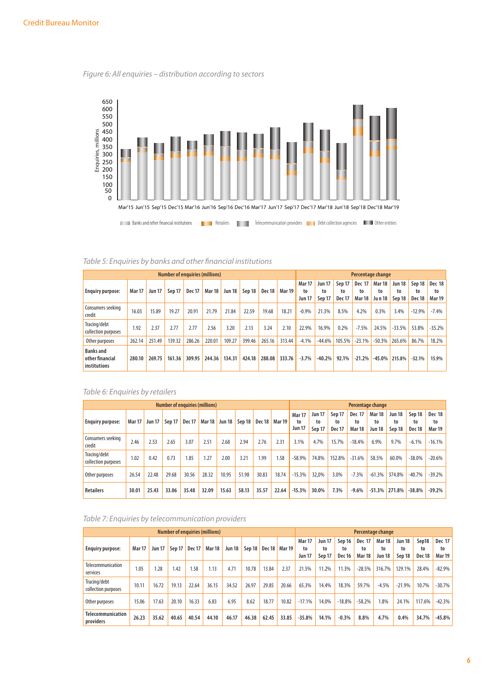*Figure 6: All enquiries – distribution according to sectors* 



| Table 5: Enguiries by banks and other financial institutions |  |  |  |
|--------------------------------------------------------------|--|--|--|
|--------------------------------------------------------------|--|--|--|

|                                                     |               |               |        | <b>Number of enquiries (millions)</b> |               |               |        |        |               |                                      |                               |                               |                                      | Percentage change             |                        |                               |                               |
|-----------------------------------------------------|---------------|---------------|--------|---------------------------------------|---------------|---------------|--------|--------|---------------|--------------------------------------|-------------------------------|-------------------------------|--------------------------------------|-------------------------------|------------------------|-------------------------------|-------------------------------|
| <b>Enquiry purpose:</b>                             | <b>Mar 17</b> | <b>Jun 17</b> | Sep 17 | <b>Dec 17</b>                         | <b>Mar 18</b> | <b>Jun 18</b> | Sep 18 | Dec 18 | <b>Mar 19</b> | <b>Mar 17</b><br>to<br><b>Jun 17</b> | <b>Jun 17</b><br>to<br>Sep 17 | Sep 17<br>to<br><b>Dec 17</b> | <b>Dec 17</b><br>to<br><b>Mar 18</b> | <b>Mar 18</b><br>to<br>Jun 18 | Jun 18<br>to<br>Sep 18 | Sep 18<br>to<br><b>Dec 18</b> | Dec 18<br>to<br><b>Mar 19</b> |
| Consumers seeking<br>credit                         | 16.03         | 15.89         | 19.27  | 20.91                                 | 21.79         | 21.84         | 22.59  | 19.68  | 18.21         | $-0.9%$                              | 21.3%                         | 8.5%                          | 4.2%                                 | 0.3%                          | 3.4%                   | $-12.9%$                      | $-7.4%$                       |
| Tracing/debt<br>collection purposes                 | 1.92          | 2.37          | 2.77   | 2.77                                  | 2.56          | 3.20          | 2.13   | 3.24   | 2.10          | 22.9%                                | 16.9%                         | 0.2%                          | $-7.5%$                              | 24.5%                         | $-33.5%$               | 53.8%                         | $-35.2%$                      |
| Other purposes                                      | 262.14        | 251.49        | 139.32 | 286.26                                | 220.01        | 109.27        | 399.46 | 265.16 | 313.44        | $-4.1%$                              | $-44.6%$                      | 105.5%                        | $-23.1%$                             | $-50.3%$                      | 265.6%                 | 86.7%                         | 18.2%                         |
| <b>Banks</b> and<br>other financial<br>institutions | 280.10        | 269.75        | 161.36 | 309.95                                | 244.36        | 134.31        | 424.18 | 288.08 | 333.76        | $-3.7%$                              | $-40.2%$                      | 92.1%                         | $-21.2%$                             | $-45.0%$                      | 215.8%                 | $-32.1%$                      | 15.9%                         |

# *Table 6: Enquiries by retailers*

|                                     |               |               |        |        | <b>Number of enquiries (millions)</b> |        |        |               |        |                                      |                               | Percentage change             |                                      |                                      |                               |                        |                                      |
|-------------------------------------|---------------|---------------|--------|--------|---------------------------------------|--------|--------|---------------|--------|--------------------------------------|-------------------------------|-------------------------------|--------------------------------------|--------------------------------------|-------------------------------|------------------------|--------------------------------------|
| <b>Enquiry purpose:</b>             | <b>Mar 17</b> | <b>Jun 17</b> | Sep 17 | Dec 17 | Mar <sub>18</sub>                     | Jun 18 | Sep 18 | <b>Dec 18</b> | Mar 19 | <b>Mar 17</b><br>to<br><b>Jun 17</b> | <b>Jun 17</b><br>to<br>Sep 17 | Sep 17<br>to<br><b>Dec 17</b> | <b>Dec 17</b><br>to<br><b>Mar 18</b> | <b>Mar 18</b><br>to<br><b>Jun 18</b> | <b>Jun 18</b><br>to<br>Sep 18 | Sep 18<br>to<br>Dec 18 | <b>Dec 18</b><br>to<br><b>Mar 19</b> |
| Consumers seeking<br>credit         | 2.46          | 2.53          | 2.65   | 3.07   | 2.51                                  | 2.68   | 2.94   | 2.76          | 2.31   | 3.1%                                 | 4.7%                          | 15.7%                         | $-18.4%$                             | 6.9%                                 | 9.7%                          | $-6.1%$                | $-16.1%$                             |
| Tracing/debt<br>collection purposes | 1.02          | 0.42          | 0.73   | 1.85   | 1.27                                  | 2.00   | 3.21   | 1.99          | 1.58   | $-58.9%$                             | 74.8%                         | 152.8%                        | $-31.6%$                             | 58.5%                                | 60.0%                         | $-38.0%$               | $-20.6%$                             |
| Other purposes                      | 26.54         | 22.48         | 29.68  | 30.56  | 28.32                                 | 10.95  | 51.98  | 30.83         | 18.74  | $-15.3%$                             | 32.0%                         | 3.0%                          | $-7.3%$                              | $-61.3%$                             | 374.8%                        | $-40.7%$               | $-39.2%$                             |
| <b>Retailers</b>                    | 30.01         | 25.43         | 33.06  | 35.48  | 32.09                                 | 15.63  | 58.13  | 35.57         | 22.64  | $-15.3%$                             | 30.0%                         | 7.3%                          | $-9.6%$                              | $-51.3%$                             | 271.8%                        | $-38.8%$               | $-39.2%$                             |

*Table 7: Enquiries by telecommunication providers*

|                                     |               |               |        |               | <b>Number of enquiries (millions)</b> |               |        |        |                   |                                      |                               |                               |                                      | Percentage change                    |                               |                                  |                                      |
|-------------------------------------|---------------|---------------|--------|---------------|---------------------------------------|---------------|--------|--------|-------------------|--------------------------------------|-------------------------------|-------------------------------|--------------------------------------|--------------------------------------|-------------------------------|----------------------------------|--------------------------------------|
| <b>Enquiry purpose:</b>             | <b>Mar 17</b> | <b>Jun 17</b> | Sep 17 | <b>Dec 17</b> | <b>Mar 18</b>                         | <b>Jun 18</b> | Sep 18 | Dec 18 | Mar <sub>19</sub> | <b>Mar 17</b><br>to<br><b>Jun 17</b> | <b>Jun 17</b><br>to<br>Sep 17 | Sep 16<br>to<br><b>Dec 16</b> | <b>Dec 17</b><br>to<br><b>Mar 18</b> | <b>Mar 18</b><br>to<br><b>Jun 18</b> | <b>Jun 18</b><br>to<br>Sep 18 | Sep18<br>to<br>Dec <sub>18</sub> | <b>Dec 17</b><br>to<br><b>Mar 19</b> |
| Telecommunication<br>services       | 1.05          | 1.28          | 1.42   | 1.58          | 1.13                                  | 4.71          | 10.78  | 13.84  | 2.37              | 21.5%                                | 11.2%                         | 11.3%                         | $-28.5%$                             | 316.7%                               | 129.1%                        | 28.4%                            | $-82.9%$                             |
| Tracing/debt<br>collection purposes | 10.11         | 16.72         | 19.13  | 22.64         | 36.15                                 | 34.52         | 26.97  | 29.85  | 20.66             | 65.3%                                | 14.4%                         | 18.3%                         | 59.7%                                | $-4.5%$                              | $-21.9%$                      | 10.7%                            | $-30.7%$                             |
| Other purposes                      | 15.06         | 17.63         | 20.10  | 16.33         | 6.83                                  | 6.95          | 8.62   | 18.77  | 10.82             | $-17.1%$                             | 14.0%                         | $-18.8%$                      | $-58.2%$                             | 1.8%                                 | 24.1%                         | 117.6%                           | $-42.3%$                             |
| Telecommunication<br>providers      | 26.23         | 35.62         | 40.65  | 40.54         | 44.10                                 | 46.17         | 46.38  | 62.45  | 33.85             | $-35.8%$                             | 14.1%                         | $-0.3%$                       | 8.8%                                 | 4.7%                                 | 0.4%                          | 34.7%                            | $-45.8%$                             |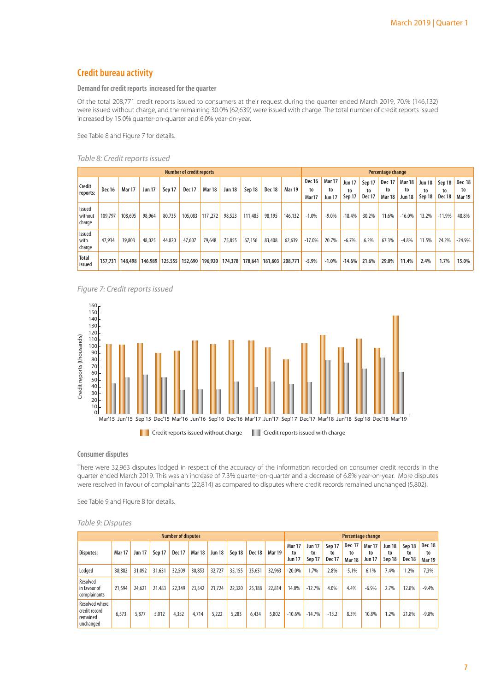# **Credit bureau activity**

#### **Demand for credit reports increased for the quarter**

Of the total 208,771 credit reports issued to consumers at their request during the quarter ended March 2019, 70.% (146,132) were issued without charge, and the remaining 30.0% (62,639) were issued with charge. The total number of credit reports issued increased by 15.0% quarter-on-quarter and 6.0% year-on-year.

See Table 8 and Figure 7 for details.

#### *Table 8: Credit reports issued*

|                             | <b>Number of credit reports</b><br><b>Jun 17</b><br>Sep 17<br><b>Dec 17</b><br><b>Mar 18</b><br>Dec 18<br><b>Dec 16</b><br><b>Mar 17</b><br><b>Jun 18</b><br>Sep 18<br>80.735<br>105,083<br>117,272<br>111,485<br>109,797<br>98,964<br>98,523<br>98,195<br>108.695 |         |        |                 |         |        |                 |        |                 |               |                              |                                      |                               |                               | Percentage change                    |                                      |                               |                               |                                      |
|-----------------------------|--------------------------------------------------------------------------------------------------------------------------------------------------------------------------------------------------------------------------------------------------------------------|---------|--------|-----------------|---------|--------|-----------------|--------|-----------------|---------------|------------------------------|--------------------------------------|-------------------------------|-------------------------------|--------------------------------------|--------------------------------------|-------------------------------|-------------------------------|--------------------------------------|
| Credit<br>reports:          |                                                                                                                                                                                                                                                                    |         |        |                 |         |        |                 |        |                 | <b>Mar 19</b> | <b>Dec 16</b><br>to<br>Mar17 | <b>Mar 17</b><br>to<br><b>Jun 17</b> | <b>Jun 17</b><br>to<br>Sep 17 | Sep 17<br>to<br><b>Dec 17</b> | <b>Dec 17</b><br>to<br><b>Mar 18</b> | <b>Mar 18</b><br>to<br><b>Jun 18</b> | <b>Jun 18</b><br>to<br>Sep 18 | Sep 18<br>to<br><b>Dec 18</b> | <b>Dec 18</b><br>to<br><b>Mar 19</b> |
| Issued<br>without<br>charge |                                                                                                                                                                                                                                                                    |         |        |                 |         |        |                 |        |                 | 146,132       | $-1.0%$                      | $-9.0\%$                             | $-18.4%$                      | 30.2%                         | 11.6%                                | $-16.0%$                             | 13.2%                         | $-11.9%$                      | 48.8%                                |
| Issued<br>with<br>charge    | 47.934                                                                                                                                                                                                                                                             | 39.803  | 48.025 | 44.820          | 47,607  | 79,648 | 75,855          | 67,156 | 83,408          | 62,639        | $-17.0%$                     | 20.7%                                | $-6.7\%$                      | 6.2%                          | 67.3%                                | $-4.8%$                              | 11.5%                         | 24.2%                         | $-24.9%$                             |
| <b>Total</b><br>issued      | 157,731                                                                                                                                                                                                                                                            | 148,498 |        | 146.989 125.555 | 152,690 |        | 196,920 174,378 |        | 178,641 181,603 | 208,771       | $-5.9\%$                     | $-1.0%$                              | $-14.6%$                      | 21.6%                         | 29.0%                                | 11.4%                                | 2.4%                          | 1.7%                          | 15.0%                                |

*Figure 7: Credit reports issued*



#### **Consumer disputes**

There were 32,963 disputes lodged in respect of the accuracy of the information recorded on consumer credit records in the quarter ended March 2019. This was an increase of 7.3% quarter-on-quarter and a decrease of 6.8% year-on-year. More disputes were resolved in favour of complainants (22,814) as compared to disputes where credit records remained unchanged (5,802).

See Table 9 and Figure 8 for details.

#### *Table 9: Disputes*

|                                                                 |               |               |        | <b>Number of disputes</b> |               |               |        |               |               |                                      |                        | Percentage change             |                                      |                                      |                               |                        |                               |
|-----------------------------------------------------------------|---------------|---------------|--------|---------------------------|---------------|---------------|--------|---------------|---------------|--------------------------------------|------------------------|-------------------------------|--------------------------------------|--------------------------------------|-------------------------------|------------------------|-------------------------------|
| Disputes:                                                       | <b>Mar 17</b> | <b>Jun 17</b> | Sep 17 | <b>Dec 17</b>             | <b>Mar 18</b> | <b>Jun 18</b> | Sep 18 | <b>Dec 18</b> | <b>Mar 19</b> | <b>Mar 17</b><br>to<br><b>Jun 17</b> | Jun 17<br>to<br>Sep 17 | Sep 17<br>to<br><b>Dec 17</b> | <b>Dec 17</b><br>to<br><b>Mar 18</b> | <b>Mar 17</b><br>to<br><b>Jun 17</b> | <b>Jun 18</b><br>to<br>Sep 18 | Sep 18<br>to<br>Dec 18 | Dec 18<br>to<br><b>Mar 19</b> |
| Lodged                                                          | 38,882        | 31,092        | 31.631 | 32,509                    | 30,853        | 32,727        | 35,155 | 35,651        | 32,963        | $-20.0%$                             | 1.7%                   | 2.8%                          | $-5.1%$                              | 6.1%                                 | 7.4%                          | 1.2%                   | 7.3%                          |
| Resolved<br>in favour of<br>complainants                        | 21.594        | 24.621        | 21.483 | 22,349                    | 23,342        | 21,724        | 22,320 | 25,188        | 22.814        | 14.0%                                | $-12.7%$               | 4.0%                          | 4.4%                                 | $-6.9%$                              | 2.7%                          | 12.8%                  | $-9.4%$                       |
| <b>Resolved where</b><br>credit record<br>remained<br>unchanged | 6,573         | 5,877         | 5.012  | 4,352                     | 4,714         | 5,222         | 5,283  | 6,434         | 5,802         | $-10.6%$                             | $-14.7%$               | $-13.2$                       | 8.3%                                 | 10.8%                                | 1.2%                          | 21.8%                  | $-9.8%$                       |